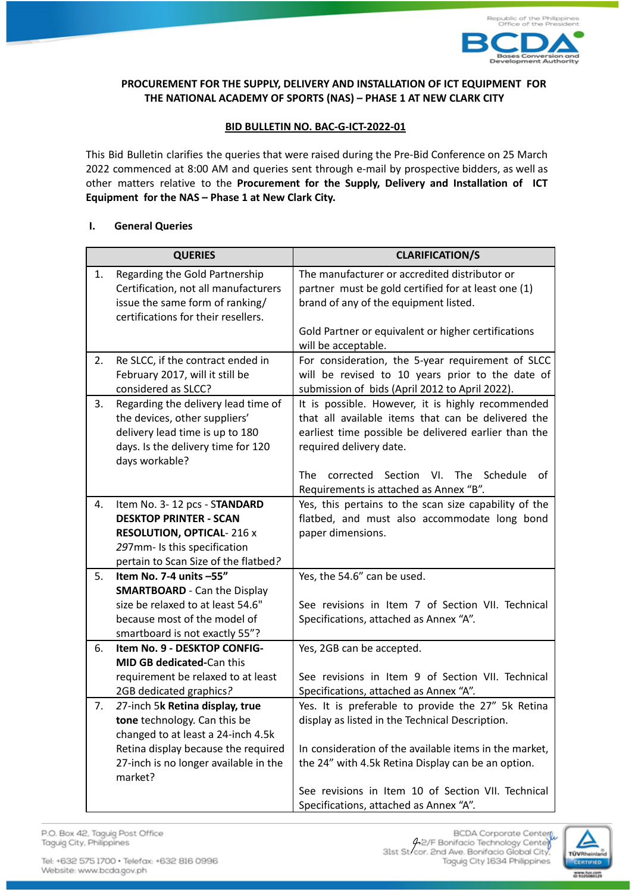

# **PROCUREMENT FOR THE SUPPLY, DELIVERY AND INSTALLATION OF ICT EQUIPMENT FOR THE NATIONAL ACADEMY OF SPORTS (NAS) – PHASE 1 AT NEW CLARK CITY**

## **BID BULLETIN NO. BAC-G-ICT-2022-01**

This Bid Bulletin clarifies the queries that were raised during the Pre-Bid Conference on 25 March 2022 commenced at 8:00 AM and queries sent through e-mail by prospective bidders, as well as other matters relative to the **Procurement for the Supply, Delivery and Installation of ICT Equipment for the NAS – Phase 1 at New Clark City.**

## **I. General Queries**

|    | <b>QUERIES</b>                                       | <b>CLARIFICATION/S</b>                                 |
|----|------------------------------------------------------|--------------------------------------------------------|
| 1. | Regarding the Gold Partnership                       | The manufacturer or accredited distributor or          |
|    | Certification, not all manufacturers                 | partner must be gold certified for at least one (1)    |
|    | issue the same form of ranking/                      | brand of any of the equipment listed.                  |
|    | certifications for their resellers.                  |                                                        |
|    |                                                      | Gold Partner or equivalent or higher certifications    |
|    |                                                      | will be acceptable.                                    |
| 2. | Re SLCC, if the contract ended in                    | For consideration, the 5-year requirement of SLCC      |
|    | February 2017, will it still be                      | will be revised to 10 years prior to the date of       |
|    | considered as SLCC?                                  | submission of bids (April 2012 to April 2022).         |
| 3. | Regarding the delivery lead time of                  | It is possible. However, it is highly recommended      |
|    | the devices, other suppliers'                        | that all available items that can be delivered the     |
|    | delivery lead time is up to 180                      | earliest time possible be delivered earlier than the   |
|    | days. Is the delivery time for 120<br>days workable? | required delivery date.                                |
|    |                                                      | corrected Section<br>The Schedule<br>The<br>VI.<br>of  |
|    |                                                      | Requirements is attached as Annex "B".                 |
| 4. | Item No. 3-12 pcs - STANDARD                         | Yes, this pertains to the scan size capability of the  |
|    | <b>DESKTOP PRINTER - SCAN</b>                        | flatbed, and must also accommodate long bond           |
|    | <b>RESOLUTION, OPTICAL-216 x</b>                     | paper dimensions.                                      |
|    | 297mm- Is this specification                         |                                                        |
|    | pertain to Scan Size of the flatbed?                 |                                                        |
| 5. | Item No. 7-4 units -55"                              | Yes, the 54.6" can be used.                            |
|    | <b>SMARTBOARD</b> - Can the Display                  |                                                        |
|    | size be relaxed to at least 54.6"                    | See revisions in Item 7 of Section VII. Technical      |
|    | because most of the model of                         | Specifications, attached as Annex "A".                 |
|    | smartboard is not exactly 55"?                       |                                                        |
| 6. | Item No. 9 - DESKTOP CONFIG-                         | Yes, 2GB can be accepted.                              |
|    | <b>MID GB dedicated-Can this</b>                     |                                                        |
|    | requirement be relaxed to at least                   | See revisions in Item 9 of Section VII. Technical      |
|    | 2GB dedicated graphics?                              | Specifications, attached as Annex "A".                 |
| 7. | 27-inch 5k Retina display, true                      | Yes. It is preferable to provide the 27" 5k Retina     |
|    | tone technology. Can this be                         | display as listed in the Technical Description.        |
|    | changed to at least a 24-inch 4.5k                   |                                                        |
|    | Retina display because the required                  | In consideration of the available items in the market, |
|    | 27-inch is no longer available in the                | the 24" with 4.5k Retina Display can be an option.     |
|    | market?                                              |                                                        |
|    |                                                      | See revisions in Item 10 of Section VII. Technical     |
|    |                                                      | Specifications, attached as Annex "A".                 |

P.O. Box 42, Taguig Post Office Taguig City, Philippines

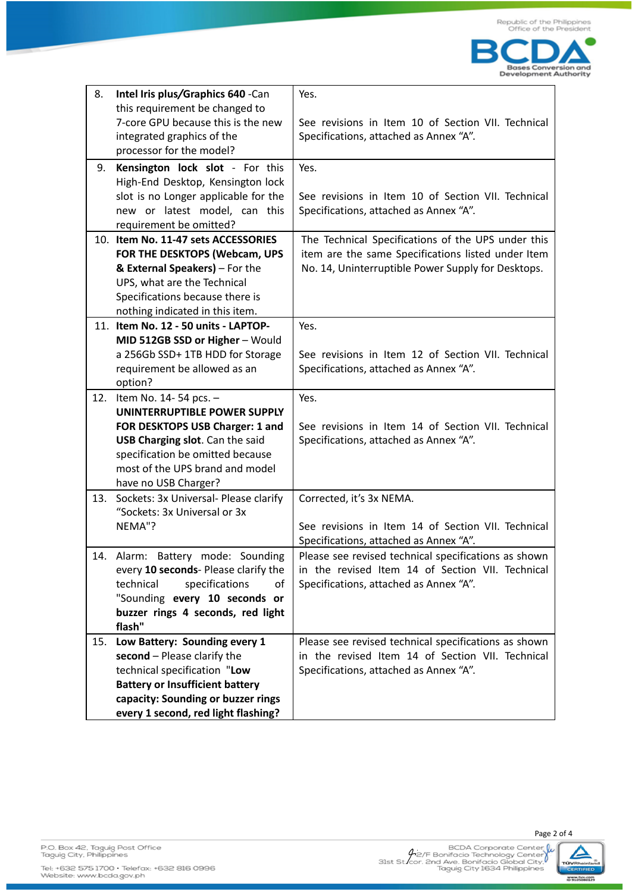

| 8.  | Intel Iris plus/Graphics 640 -Can           | Yes.                                                 |
|-----|---------------------------------------------|------------------------------------------------------|
|     | this requirement be changed to              |                                                      |
|     | 7-core GPU because this is the new          | See revisions in Item 10 of Section VII. Technical   |
|     | integrated graphics of the                  | Specifications, attached as Annex "A".               |
|     | processor for the model?                    |                                                      |
| 9.  | Kensington lock slot - For this             | Yes.                                                 |
|     | High-End Desktop, Kensington lock           |                                                      |
|     | slot is no Longer applicable for the        | See revisions in Item 10 of Section VII. Technical   |
|     | new or latest model, can this               | Specifications, attached as Annex "A".               |
|     | requirement be omitted?                     |                                                      |
|     | 10. Item No. 11-47 sets ACCESSORIES         | The Technical Specifications of the UPS under this   |
|     | FOR THE DESKTOPS (Webcam, UPS               | item are the same Specifications listed under Item   |
|     | & External Speakers) - For the              | No. 14, Uninterruptible Power Supply for Desktops.   |
|     | UPS, what are the Technical                 |                                                      |
|     | Specifications because there is             |                                                      |
|     | nothing indicated in this item.             |                                                      |
|     | 11. Item No. 12 - 50 units - LAPTOP-        | Yes.                                                 |
|     | MID 512GB SSD or Higher - Would             |                                                      |
|     | a 256Gb SSD+ 1TB HDD for Storage            | See revisions in Item 12 of Section VII. Technical   |
|     | requirement be allowed as an                | Specifications, attached as Annex "A".               |
|     | option?                                     |                                                      |
| 12. | Item No. 14-54 pcs. -                       | Yes.                                                 |
|     | UNINTERRUPTIBLE POWER SUPPLY                |                                                      |
|     | FOR DESKTOPS USB Charger: 1 and             | See revisions in Item 14 of Section VII. Technical   |
|     | USB Charging slot. Can the said             | Specifications, attached as Annex "A".               |
|     | specification be omitted because            |                                                      |
|     | most of the UPS brand and model             |                                                      |
|     | have no USB Charger?                        |                                                      |
| 13. | Sockets: 3x Universal- Please clarify       | Corrected, it's 3x NEMA.                             |
|     | "Sockets: 3x Universal or 3x                |                                                      |
|     | NEMA"?                                      | See revisions in Item 14 of Section VII. Technical   |
|     |                                             | Specifications, attached as Annex "A".               |
| 14. | Alarm: Battery mode: Sounding               | Please see revised technical specifications as shown |
|     | every 10 seconds- Please clarify the        | in the revised Item 14 of Section VII. Technical     |
|     | technical<br>specifications<br>οf           | Specifications, attached as Annex "A".               |
|     | "Sounding every 10 seconds or               |                                                      |
|     | buzzer rings 4 seconds, red light<br>flash" |                                                      |
| 15. | Low Battery: Sounding every 1               | Please see revised technical specifications as shown |
|     | second - Please clarify the                 | in the revised Item 14 of Section VII. Technical     |
|     | technical specification "Low                | Specifications, attached as Annex "A".               |
|     | <b>Battery or Insufficient battery</b>      |                                                      |
|     | capacity: Sounding or buzzer rings          |                                                      |
|     | every 1 second, red light flashing?         |                                                      |
|     |                                             |                                                      |



Page 2 of 4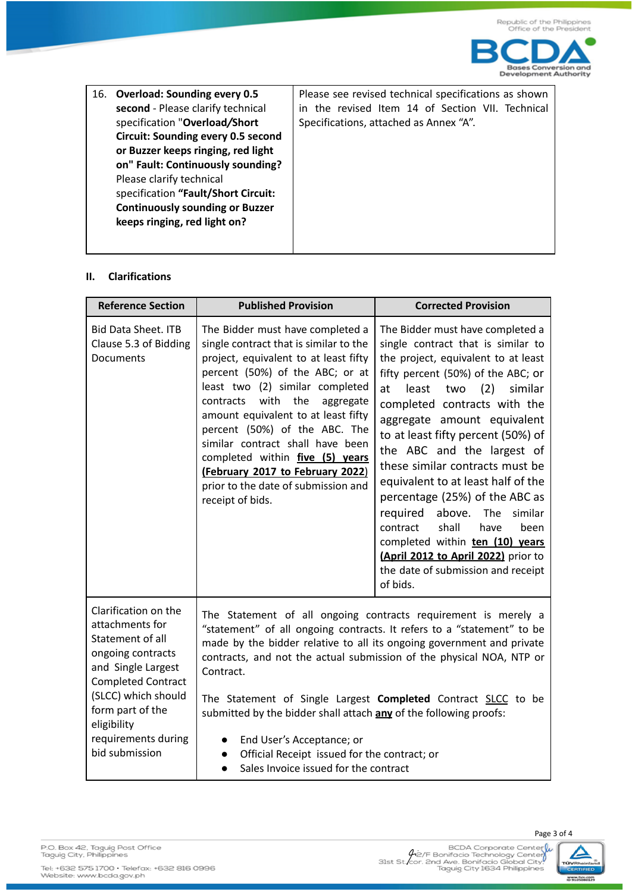

| 16. | <b>Overload: Sounding every 0.5</b>       |
|-----|-------------------------------------------|
|     | second - Please clarify technical         |
|     | specification "Overload/Short             |
|     | <b>Circuit: Sounding every 0.5 second</b> |
|     | or Buzzer keeps ringing, red light        |
|     | on" Fault: Continuously sounding?         |
|     | Please clarify technical                  |
|     | specification "Fault/Short Circuit:       |
|     | <b>Continuously sounding or Buzzer</b>    |
|     | keeps ringing, red light on?              |

Please see revised technical specifications as shown in the revised Item 14 of Section VII. Technical Specifications, attached as Annex "A".

#### **II. Clarifications**

| <b>Reference Section</b>                                                                                                                                                                                                               | <b>Published Provision</b>                                                                                                                                                                                                                                                                                                                                                                                                                                                                                                                                                                                | <b>Corrected Provision</b>                                                                                                                                                                                                                                                                                                                                                                                                                                                                                                                                                                                                                         |
|----------------------------------------------------------------------------------------------------------------------------------------------------------------------------------------------------------------------------------------|-----------------------------------------------------------------------------------------------------------------------------------------------------------------------------------------------------------------------------------------------------------------------------------------------------------------------------------------------------------------------------------------------------------------------------------------------------------------------------------------------------------------------------------------------------------------------------------------------------------|----------------------------------------------------------------------------------------------------------------------------------------------------------------------------------------------------------------------------------------------------------------------------------------------------------------------------------------------------------------------------------------------------------------------------------------------------------------------------------------------------------------------------------------------------------------------------------------------------------------------------------------------------|
| <b>Bid Data Sheet. ITB</b><br>Clause 5.3 of Bidding<br>Documents                                                                                                                                                                       | The Bidder must have completed a<br>single contract that is similar to the<br>project, equivalent to at least fifty<br>percent (50%) of the ABC; or at<br>least two (2) similar completed<br>with<br>the<br>contracts<br>aggregate<br>amount equivalent to at least fifty<br>percent (50%) of the ABC. The<br>similar contract shall have been<br>completed within five (5) vears<br>(February 2017 to February 2022)<br>prior to the date of submission and<br>receipt of bids.                                                                                                                          | The Bidder must have completed a<br>single contract that is similar to<br>the project, equivalent to at least<br>fifty percent (50%) of the ABC; or<br>at<br>least<br>(2)<br>similar<br>two<br>completed contracts with the<br>aggregate amount equivalent<br>to at least fifty percent (50%) of<br>the ABC and the largest of<br>these similar contracts must be<br>equivalent to at least half of the<br>percentage (25%) of the ABC as<br>required<br>above.<br>similar<br>The<br>shall<br>contract<br>have<br>been<br>completed within ten (10) years<br>(April 2012 to April 2022) prior to<br>the date of submission and receipt<br>of bids. |
| Clarification on the<br>attachments for<br>Statement of all<br>ongoing contracts<br>and Single Largest<br><b>Completed Contract</b><br>(SLCC) which should<br>form part of the<br>eligibility<br>requirements during<br>bid submission | The Statement of all ongoing contracts requirement is merely a<br>"statement" of all ongoing contracts. It refers to a "statement" to be<br>made by the bidder relative to all its ongoing government and private<br>contracts, and not the actual submission of the physical NOA, NTP or<br>Contract.<br>The Statement of Single Largest Completed Contract SLCC to be<br>submitted by the bidder shall attach any of the following proofs:<br>End User's Acceptance; or<br>$\bullet$<br>Official Receipt issued for the contract; or<br>$\bullet$<br>Sales Invoice issued for the contract<br>$\bullet$ |                                                                                                                                                                                                                                                                                                                                                                                                                                                                                                                                                                                                                                                    |